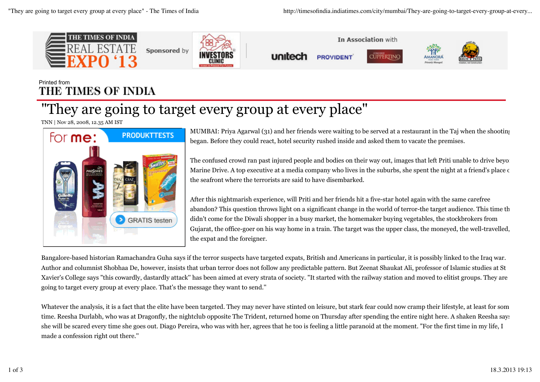

## Printed from THE TIMES OF INDIA

## "They are going to target every group at every place"

TNN | Nov 28, 2008, 12.35 AM IST



MUMBAI: Priya Agarwal (31) and her friends were waiting to be served at a restaurant in the Taj when the shooting began. Before they could react, hotel security rushed inside and asked them to vacate the premises.

The confused crowd ran past injured people and bodies on their way out, images that left Priti unable to drive beyon Marine Drive. A top executive at a media company who lives in the suburbs, she spent the night at a friend's place  $\epsilon$ the seafront where the terrorists are said to have disembarked.

After this nightmarish experience, will Priti and her friends hit a five-star hotel again with the same carefree abandon? This question throws light on a significant change in the world of terror-the target audience. This time th didn't come for the Diwali shopper in a busy market, the homemaker buying vegetables, the stockbrokers from Gujarat, the office-goer on his way home in a train. The target was the upper class, the moneyed, the well-travelled, the expat and the foreigner.

Bangalore-based historian Ramachandra Guha says if the terror suspects have targeted expats, British and Americans in particular, it is possibly linked to the Iraq war. Author and columnist Shobhaa De, however, insists that urban terror does not follow any predictable pattern. But Zeenat Shaukat Ali, professor of Islamic studies at St Xavier's College says "this cowardly, dastardly attack'' has been aimed at every strata of society. "It started with the railway station and moved to elitist groups. They are going to target every group at every place. That's the message they want to send.''

Whatever the analysis, it is a fact that the elite have been targeted. They may never have stinted on leisure, but stark fear could now cramp their lifestyle, at least for some time. Reesha Durlabh, who was at Dragonfly, the nightclub opposite The Trident, returned home on Thursday after spending the entire night here. A shaken Reesha says she will be scared every time she goes out. Diago Pereira, who was with her, agrees that he too is feeling a little paranoid at the moment. "For the first time in my life, I made a confession right out there.''